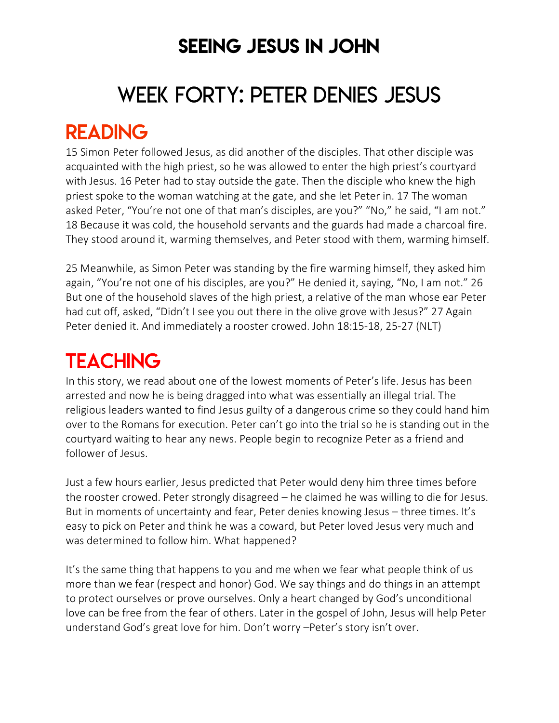### SEEING JESUS IN JOHN

# WEEK FORTY: PETER DENIES JESUS

### READING

15 Simon Peter followed Jesus, as did another of the disciples. That other disciple was acquainted with the high priest, so he was allowed to enter the high priest's courtyard with Jesus. 16 Peter had to stay outside the gate. Then the disciple who knew the high priest spoke to the woman watching at the gate, and she let Peter in. 17 The woman asked Peter, "You're not one of that man's disciples, are you?" "No," he said, "I am not." 18 Because it was cold, the household servants and the guards had made a charcoal fire. They stood around it, warming themselves, and Peter stood with them, warming himself.

25 Meanwhile, as Simon Peter was standing by the fire warming himself, they asked him again, "You're not one of his disciples, are you?" He denied it, saying, "No, I am not." 26 But one of the household slaves of the high priest, a relative of the man whose ear Peter had cut off, asked, "Didn't I see you out there in the olive grove with Jesus?" 27 Again Peter denied it. And immediately a rooster crowed. John 18:15-18, 25-27 (NLT)

## **TEACHING**

In this story, we read about one of the lowest moments of Peter's life. Jesus has been arrested and now he is being dragged into what was essentially an illegal trial. The religious leaders wanted to find Jesus guilty of a dangerous crime so they could hand him over to the Romans for execution. Peter can't go into the trial so he is standing out in the courtyard waiting to hear any news. People begin to recognize Peter as a friend and follower of Jesus.

Just a few hours earlier, Jesus predicted that Peter would deny him three times before the rooster crowed. Peter strongly disagreed – he claimed he was willing to die for Jesus. But in moments of uncertainty and fear, Peter denies knowing Jesus – three times. It's easy to pick on Peter and think he was a coward, but Peter loved Jesus very much and was determined to follow him. What happened?

It's the same thing that happens to you and me when we fear what people think of us more than we fear (respect and honor) God. We say things and do things in an attempt to protect ourselves or prove ourselves. Only a heart changed by God's unconditional love can be free from the fear of others. Later in the gospel of John, Jesus will help Peter understand God's great love for him. Don't worry –Peter's story isn't over.